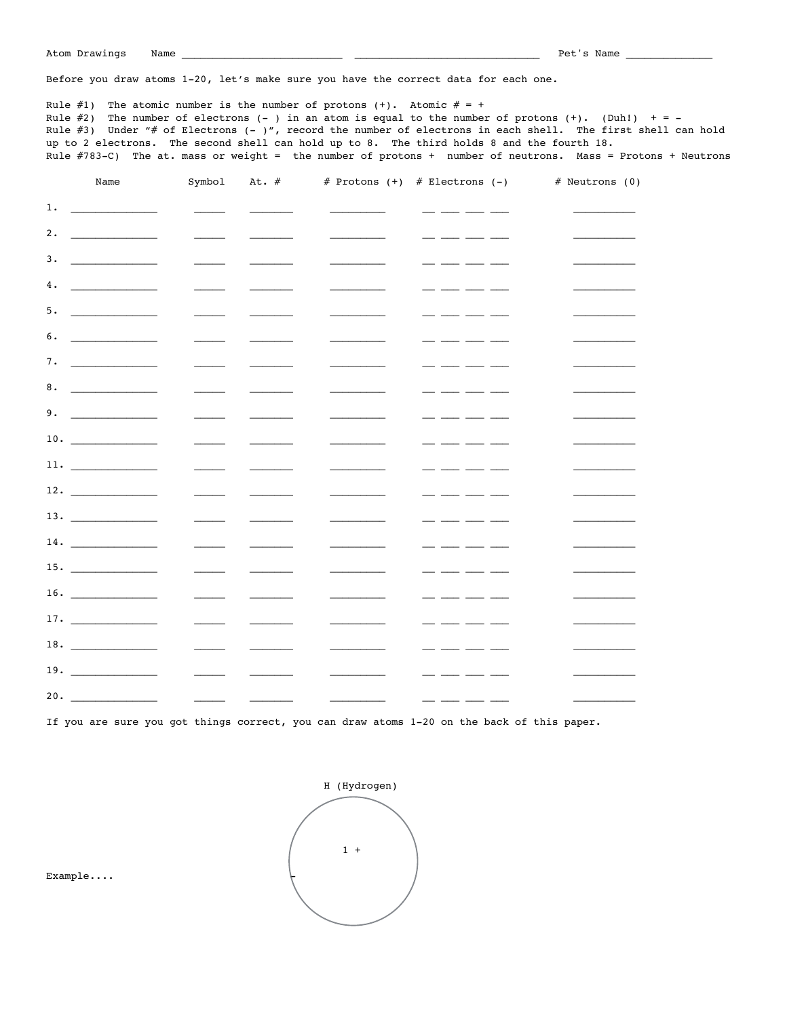Before you draw atoms 1-20, let's make sure you have the correct data for each one.

Rule  $\#1$ ) The atomic number is the number of protons (+). Atomic  $\# = +$ Rule #2) The number of electrons  $(-)$  in an atom is equal to the number of protons  $(+)$ . (Duh!)  $+ = -$ Rule #3) Under "# of Electrons (- )", record the number of electrons in each shell. The first shell can hold up to 2 electrons. The second shell can hold up to 8. The third holds 8 and the fourth 18. Rule #783-C) The at. mass or weight = the number of protons + number of neutrons. Mass = Protons + Neutrons

|     | Name | Symbol                                                                                                                                                                                                                                                                                                                                                                                                                                                                     | At. $#$ |                           | # Protons $(+)$ # Electrons $(-)$                         | # Neutrons (0) |
|-----|------|----------------------------------------------------------------------------------------------------------------------------------------------------------------------------------------------------------------------------------------------------------------------------------------------------------------------------------------------------------------------------------------------------------------------------------------------------------------------------|---------|---------------------------|-----------------------------------------------------------|----------------|
|     |      | $\frac{1}{2} \left( \frac{1}{2} \right) \left( \frac{1}{2} \right) \left( \frac{1}{2} \right) \left( \frac{1}{2} \right) \left( \frac{1}{2} \right) \left( \frac{1}{2} \right) \left( \frac{1}{2} \right) \left( \frac{1}{2} \right) \left( \frac{1}{2} \right) \left( \frac{1}{2} \right) \left( \frac{1}{2} \right) \left( \frac{1}{2} \right) \left( \frac{1}{2} \right) \left( \frac{1}{2} \right) \left( \frac{1}{2} \right) \left( \frac{1}{2} \right) \left( \frac$ |         | <u> 1989 - John Stone</u> |                                                           |                |
| 2.  |      |                                                                                                                                                                                                                                                                                                                                                                                                                                                                            |         |                           | . <u>.</u>                                                |                |
| 3.  |      |                                                                                                                                                                                                                                                                                                                                                                                                                                                                            |         |                           | - - - -<br>$ -$                                           |                |
| 4.  |      |                                                                                                                                                                                                                                                                                                                                                                                                                                                                            |         |                           | $   -$                                                    |                |
|     |      |                                                                                                                                                                                                                                                                                                                                                                                                                                                                            |         |                           | $\overline{\phantom{a}}$ $\overline{\phantom{a}}$<br>$ -$ |                |
|     |      |                                                                                                                                                                                                                                                                                                                                                                                                                                                                            |         |                           | - --- -- --                                               |                |
|     |      |                                                                                                                                                                                                                                                                                                                                                                                                                                                                            |         |                           |                                                           |                |
| 8.  |      |                                                                                                                                                                                                                                                                                                                                                                                                                                                                            |         |                           | $  -$<br>$=$ $-$                                          |                |
|     |      |                                                                                                                                                                                                                                                                                                                                                                                                                                                                            |         |                           | _ ___ __ __ __                                            |                |
|     |      |                                                                                                                                                                                                                                                                                                                                                                                                                                                                            |         |                           |                                                           |                |
|     | 11.  |                                                                                                                                                                                                                                                                                                                                                                                                                                                                            |         |                           | _ ____ ___ __                                             |                |
|     |      |                                                                                                                                                                                                                                                                                                                                                                                                                                                                            |         |                           | _ ___ ___ ___ ___                                         |                |
|     |      |                                                                                                                                                                                                                                                                                                                                                                                                                                                                            |         |                           | _ __ __ _                                                 |                |
|     | 14.  |                                                                                                                                                                                                                                                                                                                                                                                                                                                                            |         |                           | _ ___ __ __ __                                            |                |
|     |      |                                                                                                                                                                                                                                                                                                                                                                                                                                                                            |         |                           |                                                           |                |
|     |      |                                                                                                                                                                                                                                                                                                                                                                                                                                                                            |         |                           | _ ____ ___ _                                              |                |
|     |      |                                                                                                                                                                                                                                                                                                                                                                                                                                                                            |         |                           | $   -$                                                    |                |
|     |      |                                                                                                                                                                                                                                                                                                                                                                                                                                                                            |         |                           | _ ____ ___ __                                             |                |
|     |      | $\frac{1}{1}$                                                                                                                                                                                                                                                                                                                                                                                                                                                              |         |                           |                                                           |                |
| 20. |      | <u> 1980 - Andrea Andrew Maria a Ba</u>                                                                                                                                                                                                                                                                                                                                                                                                                                    |         |                           | $\frac{1}{2}$<br>_ _                                      |                |

If you are sure you got things correct, you can draw atoms 1-20 on the back of this paper.



Example....